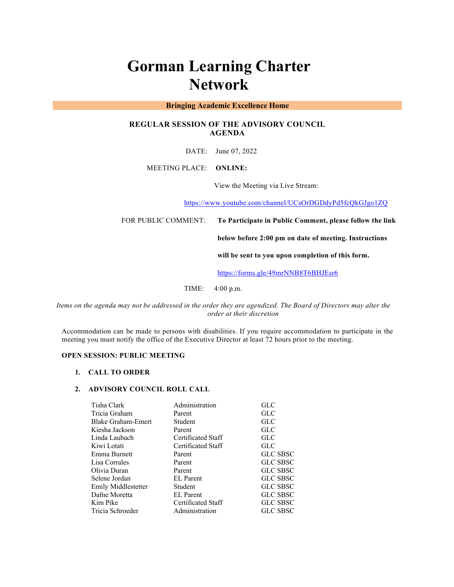# **Gorman Learning Charter Network**

## **Bringing Academic Excellence Home**

# **REGULAR SESSION OF THE ADVISORY COUNCIL AGENDA**

DATE: June 07, 2022

## MEETING PLACE: **ONLINE:**

View the Meeting via Live Stream:

https://www.youtube.com/channel/UCsOrDGDdyPd5fcQkGJgo1ZQ

FOR PUBLIC COMMENT: **To Participate in Public Comment, please follow the link** 

**below before 2:00 pm on date of meeting. Instructions** 

**will be sent to you upon completion of this form.**

https://forms.gle/49mrNNB8T6BHJEsr6

TIME: 4:00 p.m.

*Items on the agenda may not be addressed in the order they are agendized. The Board of Directors may alter the order at their discretion*

Accommodation can be made to persons with disabilities. If you require accommodation to participate in the meeting you must notify the office of the Executive Director at least 72 hours prior to the meeting.

## **OPEN SESSION: PUBLIC MEETING**

#### **1. CALL TO ORDER**

#### **2. ADVISORY COUNCIL ROLL CALL**

| Tisha Clark         | Administration     | <b>GLC</b>      |
|---------------------|--------------------|-----------------|
| Tricia Graham       | Parent             | <b>GLC</b>      |
| Blake Graham-Emert  | Student            | GLC             |
| Kiesha Jackson      | Parent             | GLC             |
| Linda Laubach       | Certificated Staff | <b>GLC</b>      |
| Kiwi Lotati         | Certificated Staff | <b>GLC</b>      |
| Emma Burnett        | Parent             | <b>GLC SBSC</b> |
| Lisa Corrales       | Parent             | <b>GLC SBSC</b> |
| Olivia Duran        | Parent             | <b>GLC SBSC</b> |
| Selene Jordan       | <b>EL</b> Parent   | <b>GLC SBSC</b> |
| Emily Middlestetter | Student            | <b>GLC SBSC</b> |
| Dafne Moretta       | <b>EL</b> Parent   | <b>GLC SBSC</b> |
| Kim Pike            | Certificated Staff | <b>GLC SBSC</b> |
| Tricia Schroeder    | Administration     | <b>GLC SBSC</b> |
|                     |                    |                 |